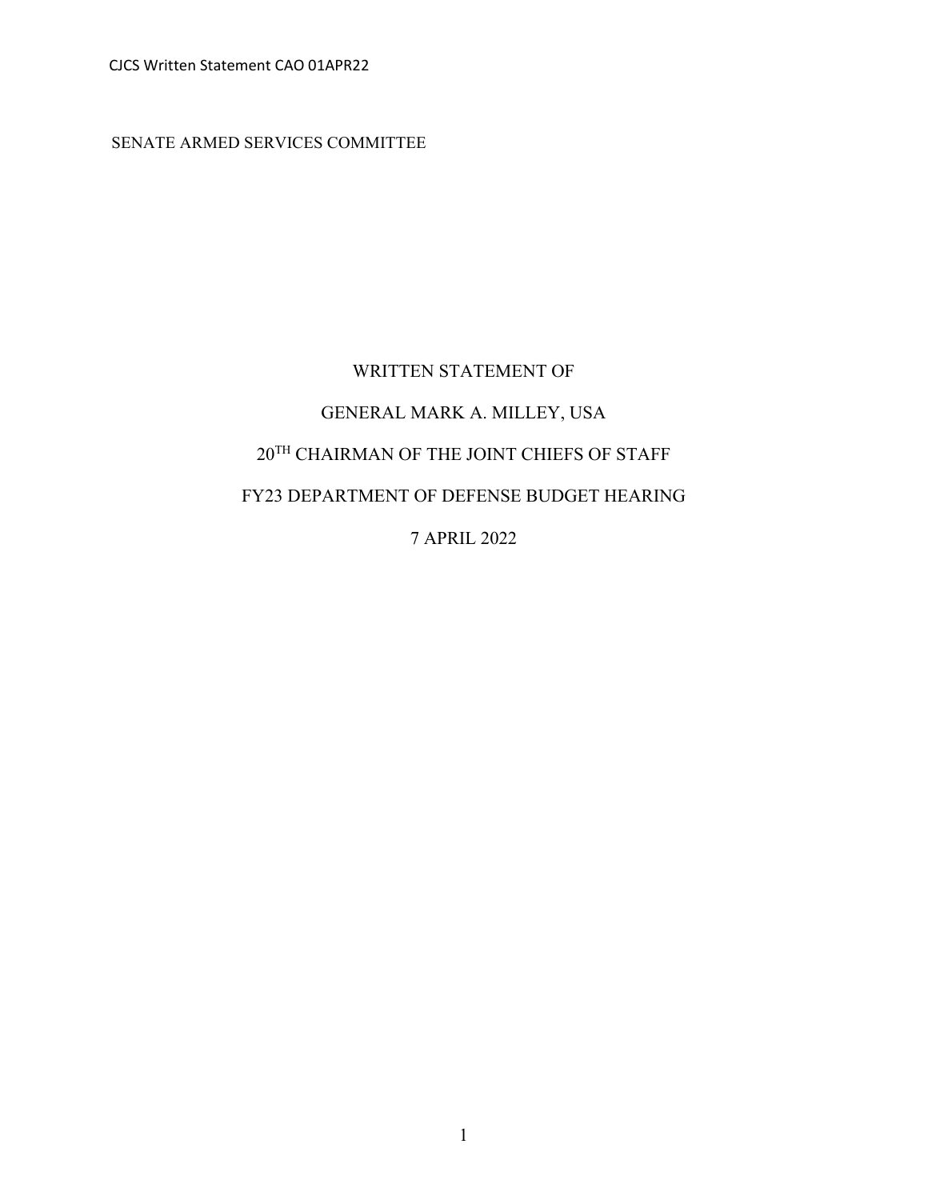CJCS Written Statement CAO 01APR22

SENATE ARMED SERVICES COMMITTEE

# WRITTEN STATEMENT OF GENERAL MARK A. MILLEY, USA 20TH CHAIRMAN OF THE JOINT CHIEFS OF STAFF FY23 DEPARTMENT OF DEFENSE BUDGET HEARING 7 APRIL 2022

1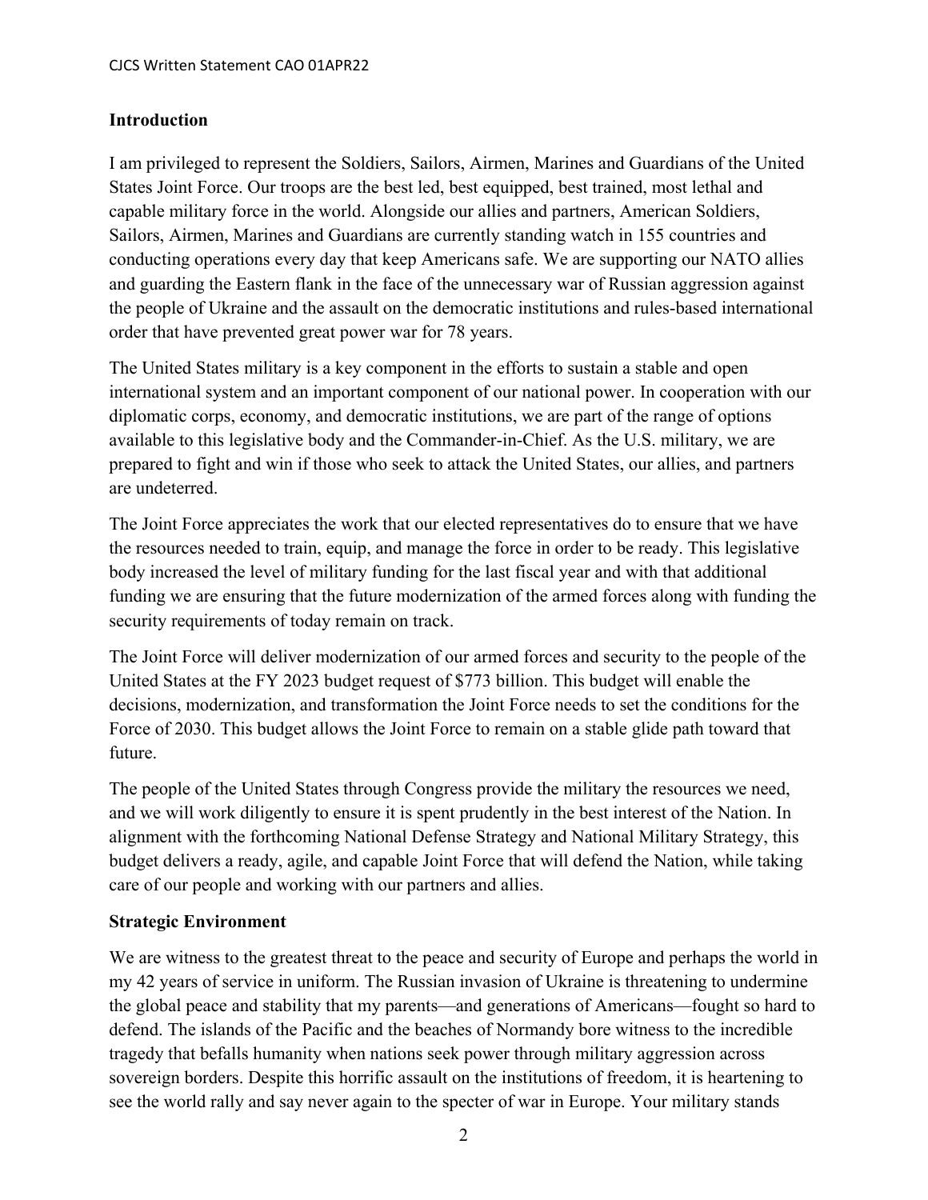#### **Introduction**

I am privileged to represent the Soldiers, Sailors, Airmen, Marines and Guardians of the United States Joint Force. Our troops are the best led, best equipped, best trained, most lethal and capable military force in the world. Alongside our allies and partners, American Soldiers, Sailors, Airmen, Marines and Guardians are currently standing watch in 155 countries and conducting operations every day that keep Americans safe. We are supporting our NATO allies and guarding the Eastern flank in the face of the unnecessary war of Russian aggression against the people of Ukraine and the assault on the democratic institutions and rules-based international order that have prevented great power war for 78 years.

The United States military is a key component in the efforts to sustain a stable and open international system and an important component of our national power. In cooperation with our diplomatic corps, economy, and democratic institutions, we are part of the range of options available to this legislative body and the Commander-in-Chief. As the U.S. military, we are prepared to fight and win if those who seek to attack the United States, our allies, and partners are undeterred.

The Joint Force appreciates the work that our elected representatives do to ensure that we have the resources needed to train, equip, and manage the force in order to be ready. This legislative body increased the level of military funding for the last fiscal year and with that additional funding we are ensuring that the future modernization of the armed forces along with funding the security requirements of today remain on track.

The Joint Force will deliver modernization of our armed forces and security to the people of the United States at the FY 2023 budget request of \$773 billion. This budget will enable the decisions, modernization, and transformation the Joint Force needs to set the conditions for the Force of 2030. This budget allows the Joint Force to remain on a stable glide path toward that future.

The people of the United States through Congress provide the military the resources we need, and we will work diligently to ensure it is spent prudently in the best interest of the Nation. In alignment with the forthcoming National Defense Strategy and National Military Strategy, this budget delivers a ready, agile, and capable Joint Force that will defend the Nation, while taking care of our people and working with our partners and allies.

## **Strategic Environment**

We are witness to the greatest threat to the peace and security of Europe and perhaps the world in my 42 years of service in uniform. The Russian invasion of Ukraine is threatening to undermine the global peace and stability that my parents—and generations of Americans—fought so hard to defend. The islands of the Pacific and the beaches of Normandy bore witness to the incredible tragedy that befalls humanity when nations seek power through military aggression across sovereign borders. Despite this horrific assault on the institutions of freedom, it is heartening to see the world rally and say never again to the specter of war in Europe. Your military stands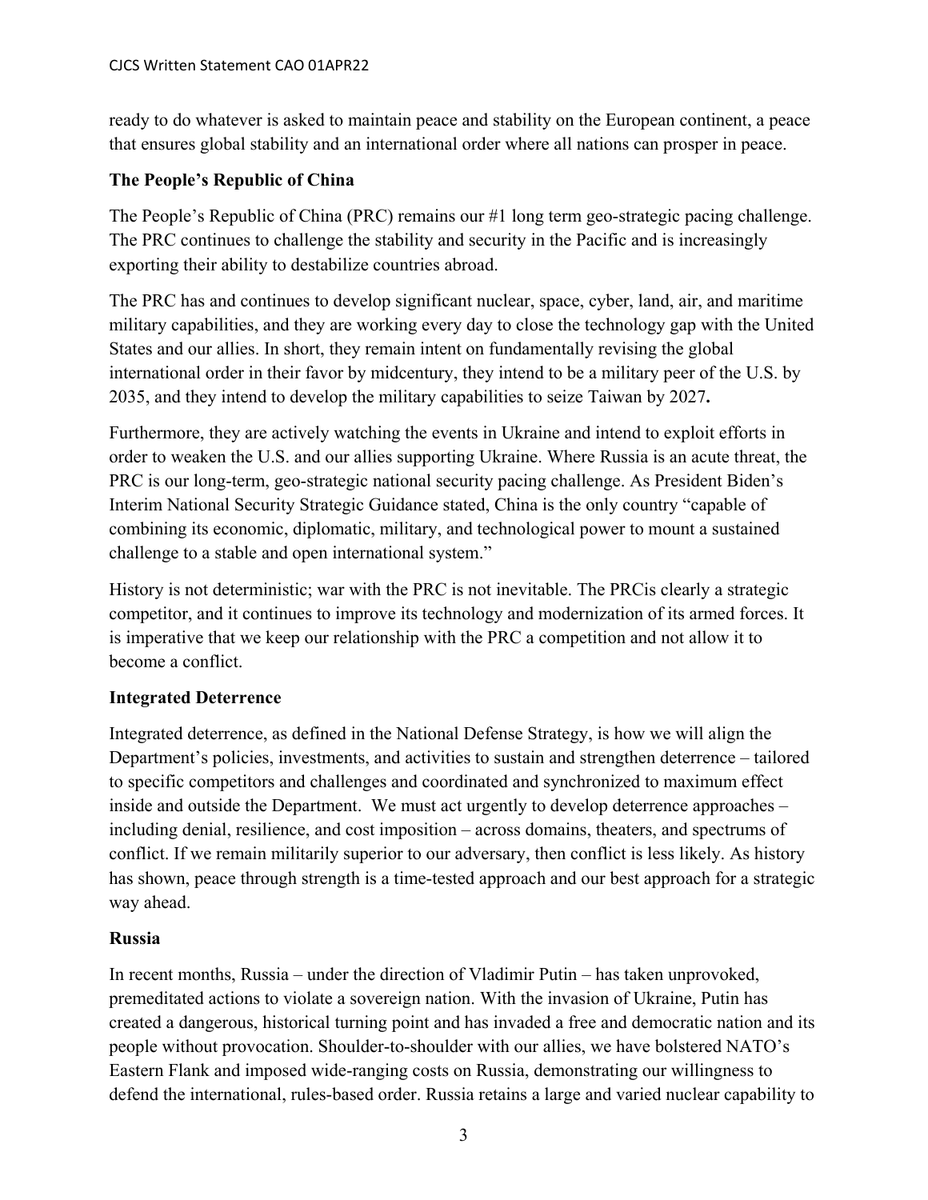ready to do whatever is asked to maintain peace and stability on the European continent, a peace that ensures global stability and an international order where all nations can prosper in peace.

## **The People's Republic of China**

The People's Republic of China (PRC) remains our #1 long term geo-strategic pacing challenge. The PRC continues to challenge the stability and security in the Pacific and is increasingly exporting their ability to destabilize countries abroad.

The PRC has and continues to develop significant nuclear, space, cyber, land, air, and maritime military capabilities, and they are working every day to close the technology gap with the United States and our allies. In short, they remain intent on fundamentally revising the global international order in their favor by midcentury, they intend to be a military peer of the U.S. by 2035, and they intend to develop the military capabilities to seize Taiwan by 2027**.**

Furthermore, they are actively watching the events in Ukraine and intend to exploit efforts in order to weaken the U.S. and our allies supporting Ukraine. Where Russia is an acute threat, the PRC is our long-term, geo-strategic national security pacing challenge. As President Biden's Interim National Security Strategic Guidance stated, China is the only country "capable of combining its economic, diplomatic, military, and technological power to mount a sustained challenge to a stable and open international system."

History is not deterministic; war with the PRC is not inevitable. The PRCis clearly a strategic competitor, and it continues to improve its technology and modernization of its armed forces. It is imperative that we keep our relationship with the PRC a competition and not allow it to become a conflict.

## **Integrated Deterrence**

Integrated deterrence, as defined in the National Defense Strategy, is how we will align the Department's policies, investments, and activities to sustain and strengthen deterrence – tailored to specific competitors and challenges and coordinated and synchronized to maximum effect inside and outside the Department. We must act urgently to develop deterrence approaches – including denial, resilience, and cost imposition – across domains, theaters, and spectrums of conflict. If we remain militarily superior to our adversary, then conflict is less likely. As history has shown, peace through strength is a time-tested approach and our best approach for a strategic way ahead.

## **Russia**

In recent months, Russia – under the direction of Vladimir Putin – has taken unprovoked, premeditated actions to violate a sovereign nation. With the invasion of Ukraine, Putin has created a dangerous, historical turning point and has invaded a free and democratic nation and its people without provocation. Shoulder-to-shoulder with our allies, we have bolstered NATO's Eastern Flank and imposed wide-ranging costs on Russia, demonstrating our willingness to defend the international, rules-based order. Russia retains a large and varied nuclear capability to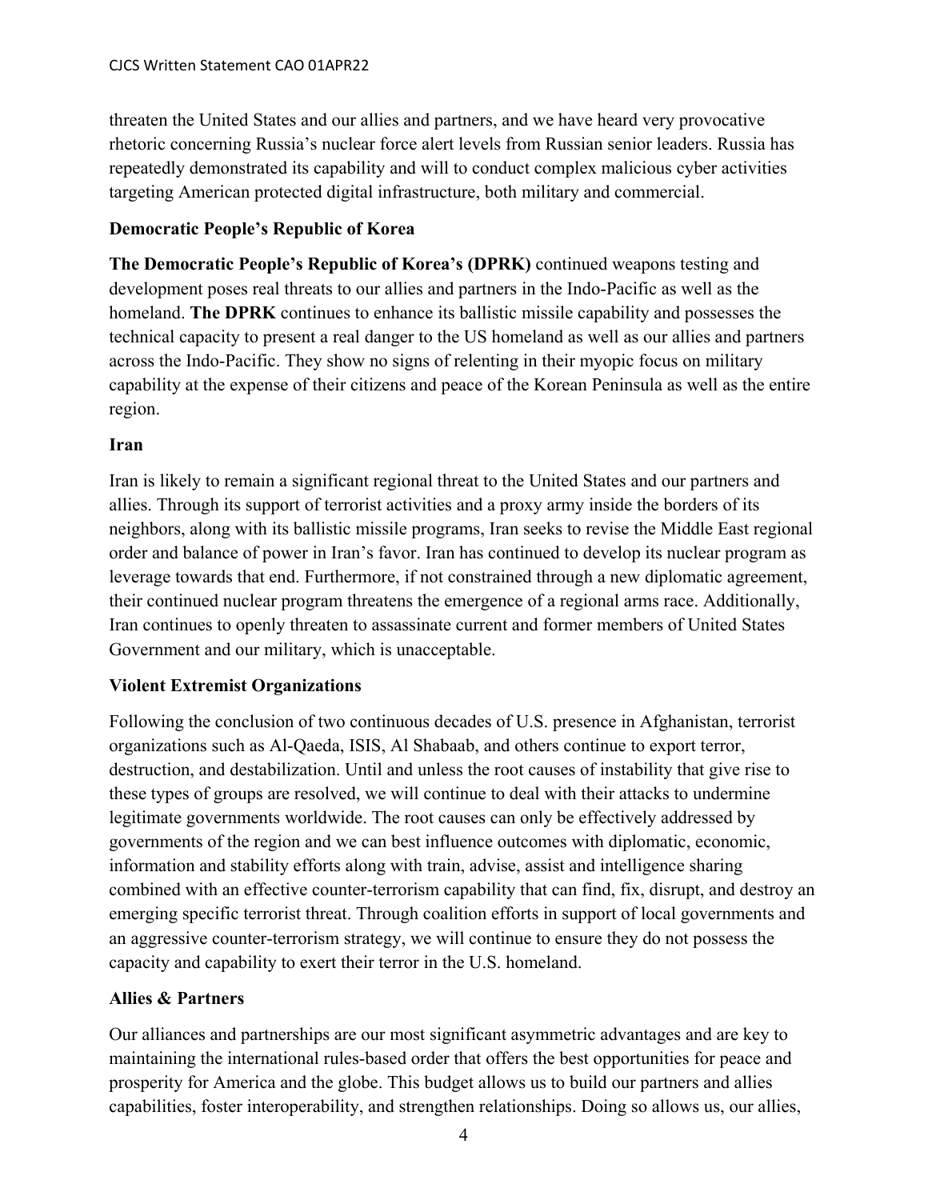threaten the United States and our allies and partners, and we have heard very provocative rhetoric concerning Russia's nuclear force alert levels from Russian senior leaders. Russia has repeatedly demonstrated its capability and will to conduct complex malicious cyber activities targeting American protected digital infrastructure, both military and commercial.

#### **Democratic People's Republic of Korea**

**The Democratic People's Republic of Korea's (DPRK)** continued weapons testing and development poses real threats to our allies and partners in the Indo-Pacific as well as the homeland. **The DPRK** continues to enhance its ballistic missile capability and possesses the technical capacity to present a real danger to the US homeland as well as our allies and partners across the Indo-Pacific. They show no signs of relenting in their myopic focus on military capability at the expense of their citizens and peace of the Korean Peninsula as well as the entire region.

#### **Iran**

Iran is likely to remain a significant regional threat to the United States and our partners and allies. Through its support of terrorist activities and a proxy army inside the borders of its neighbors, along with its ballistic missile programs, Iran seeks to revise the Middle East regional order and balance of power in Iran's favor. Iran has continued to develop its nuclear program as leverage towards that end. Furthermore, if not constrained through a new diplomatic agreement, their continued nuclear program threatens the emergence of a regional arms race. Additionally, Iran continues to openly threaten to assassinate current and former members of United States Government and our military, which is unacceptable.

## **Violent Extremist Organizations**

Following the conclusion of two continuous decades of U.S. presence in Afghanistan, terrorist organizations such as Al-Qaeda, ISIS, Al Shabaab, and others continue to export terror, destruction, and destabilization. Until and unless the root causes of instability that give rise to these types of groups are resolved, we will continue to deal with their attacks to undermine legitimate governments worldwide. The root causes can only be effectively addressed by governments of the region and we can best influence outcomes with diplomatic, economic, information and stability efforts along with train, advise, assist and intelligence sharing combined with an effective counter-terrorism capability that can find, fix, disrupt, and destroy an emerging specific terrorist threat. Through coalition efforts in support of local governments and an aggressive counter-terrorism strategy, we will continue to ensure they do not possess the capacity and capability to exert their terror in the U.S. homeland.

## **Allies & Partners**

Our alliances and partnerships are our most significant asymmetric advantages and are key to maintaining the international rules-based order that offers the best opportunities for peace and prosperity for America and the globe. This budget allows us to build our partners and allies capabilities, foster interoperability, and strengthen relationships. Doing so allows us, our allies,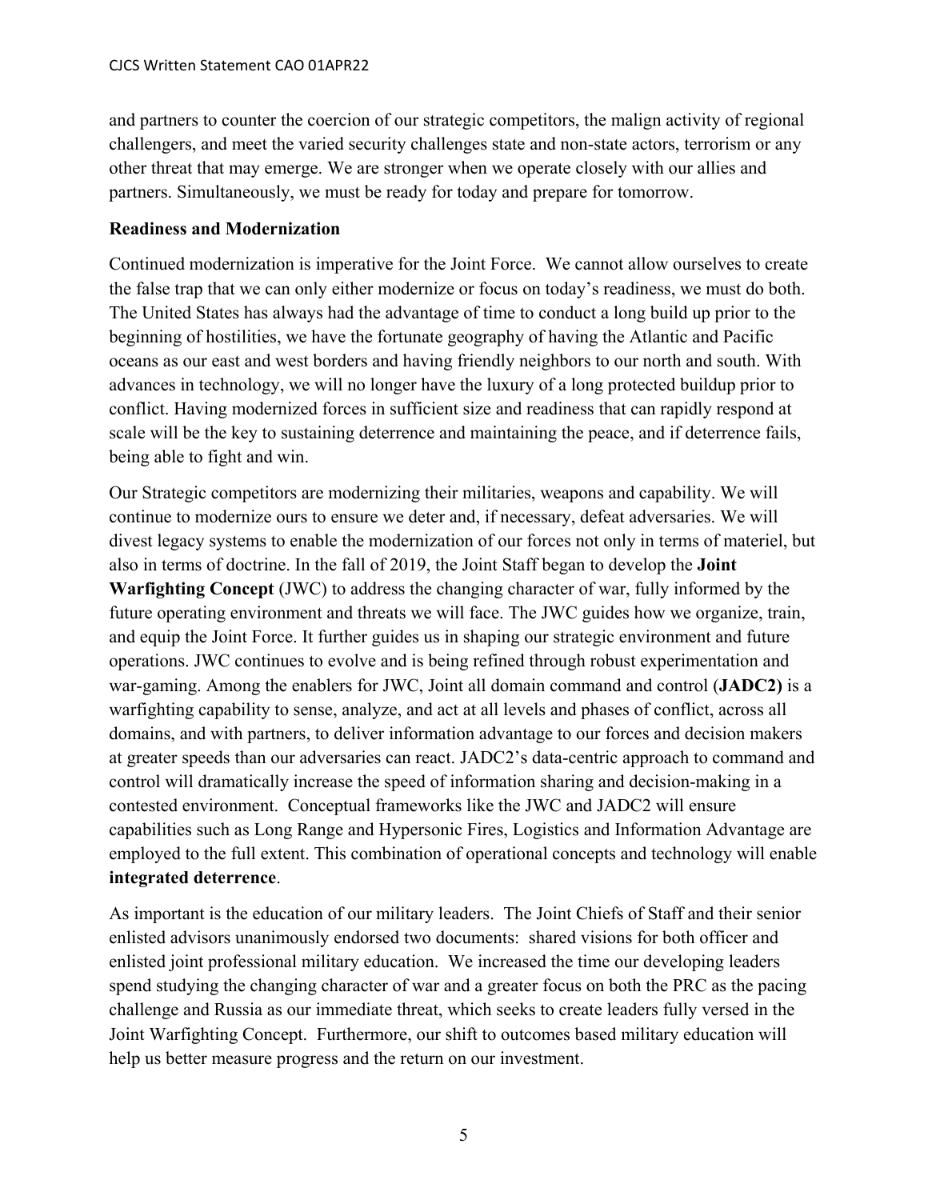and partners to counter the coercion of our strategic competitors, the malign activity of regional challengers, and meet the varied security challenges state and non-state actors, terrorism or any other threat that may emerge. We are stronger when we operate closely with our allies and partners. Simultaneously, we must be ready for today and prepare for tomorrow.

#### **Readiness and Modernization**

Continued modernization is imperative for the Joint Force. We cannot allow ourselves to create the false trap that we can only either modernize or focus on today's readiness, we must do both. The United States has always had the advantage of time to conduct a long build up prior to the beginning of hostilities, we have the fortunate geography of having the Atlantic and Pacific oceans as our east and west borders and having friendly neighbors to our north and south. With advances in technology, we will no longer have the luxury of a long protected buildup prior to conflict. Having modernized forces in sufficient size and readiness that can rapidly respond at scale will be the key to sustaining deterrence and maintaining the peace, and if deterrence fails, being able to fight and win.

Our Strategic competitors are modernizing their militaries, weapons and capability. We will continue to modernize ours to ensure we deter and, if necessary, defeat adversaries. We will divest legacy systems to enable the modernization of our forces not only in terms of materiel, but also in terms of doctrine. In the fall of 2019, the Joint Staff began to develop the **Joint Warfighting Concept** (JWC) to address the changing character of war, fully informed by the future operating environment and threats we will face. The JWC guides how we organize, train, and equip the Joint Force. It further guides us in shaping our strategic environment and future operations. JWC continues to evolve and is being refined through robust experimentation and war-gaming. Among the enablers for JWC, Joint all domain command and control (**JADC2)** is a warfighting capability to sense, analyze, and act at all levels and phases of conflict, across all domains, and with partners, to deliver information advantage to our forces and decision makers at greater speeds than our adversaries can react. JADC2's data-centric approach to command and control will dramatically increase the speed of information sharing and decision-making in a contested environment. Conceptual frameworks like the JWC and JADC2 will ensure capabilities such as Long Range and Hypersonic Fires, Logistics and Information Advantage are employed to the full extent. This combination of operational concepts and technology will enable **integrated deterrence**.

As important is the education of our military leaders. The Joint Chiefs of Staff and their senior enlisted advisors unanimously endorsed two documents: shared visions for both officer and enlisted joint professional military education. We increased the time our developing leaders spend studying the changing character of war and a greater focus on both the PRC as the pacing challenge and Russia as our immediate threat, which seeks to create leaders fully versed in the Joint Warfighting Concept. Furthermore, our shift to outcomes based military education will help us better measure progress and the return on our investment.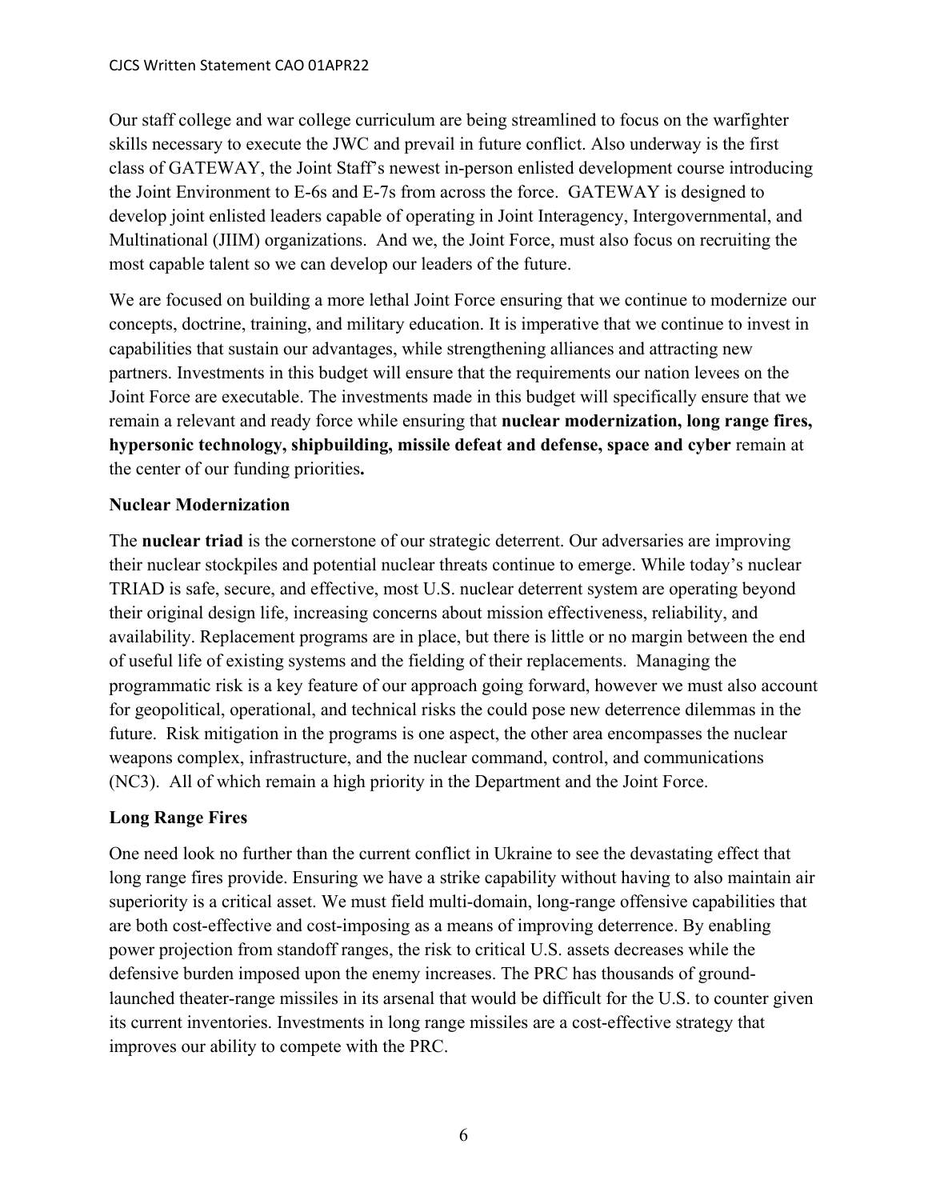Our staff college and war college curriculum are being streamlined to focus on the warfighter skills necessary to execute the JWC and prevail in future conflict. Also underway is the first class of GATEWAY, the Joint Staff's newest in-person enlisted development course introducing the Joint Environment to E-6s and E-7s from across the force. GATEWAY is designed to develop joint enlisted leaders capable of operating in Joint Interagency, Intergovernmental, and Multinational (JIIM) organizations. And we, the Joint Force, must also focus on recruiting the most capable talent so we can develop our leaders of the future.

We are focused on building a more lethal Joint Force ensuring that we continue to modernize our concepts, doctrine, training, and military education. It is imperative that we continue to invest in capabilities that sustain our advantages, while strengthening alliances and attracting new partners. Investments in this budget will ensure that the requirements our nation levees on the Joint Force are executable. The investments made in this budget will specifically ensure that we remain a relevant and ready force while ensuring that **nuclear modernization, long range fires, hypersonic technology, shipbuilding, missile defeat and defense, space and cyber** remain at the center of our funding priorities**.**

## **Nuclear Modernization**

The **nuclear triad** is the cornerstone of our strategic deterrent. Our adversaries are improving their nuclear stockpiles and potential nuclear threats continue to emerge. While today's nuclear TRIAD is safe, secure, and effective, most U.S. nuclear deterrent system are operating beyond their original design life, increasing concerns about mission effectiveness, reliability, and availability. Replacement programs are in place, but there is little or no margin between the end of useful life of existing systems and the fielding of their replacements. Managing the programmatic risk is a key feature of our approach going forward, however we must also account for geopolitical, operational, and technical risks the could pose new deterrence dilemmas in the future. Risk mitigation in the programs is one aspect, the other area encompasses the nuclear weapons complex, infrastructure, and the nuclear command, control, and communications (NC3). All of which remain a high priority in the Department and the Joint Force.

## **Long Range Fires**

One need look no further than the current conflict in Ukraine to see the devastating effect that long range fires provide. Ensuring we have a strike capability without having to also maintain air superiority is a critical asset. We must field multi-domain, long-range offensive capabilities that are both cost-effective and cost-imposing as a means of improving deterrence. By enabling power projection from standoff ranges, the risk to critical U.S. assets decreases while the defensive burden imposed upon the enemy increases. The PRC has thousands of groundlaunched theater-range missiles in its arsenal that would be difficult for the U.S. to counter given its current inventories. Investments in long range missiles are a cost-effective strategy that improves our ability to compete with the PRC.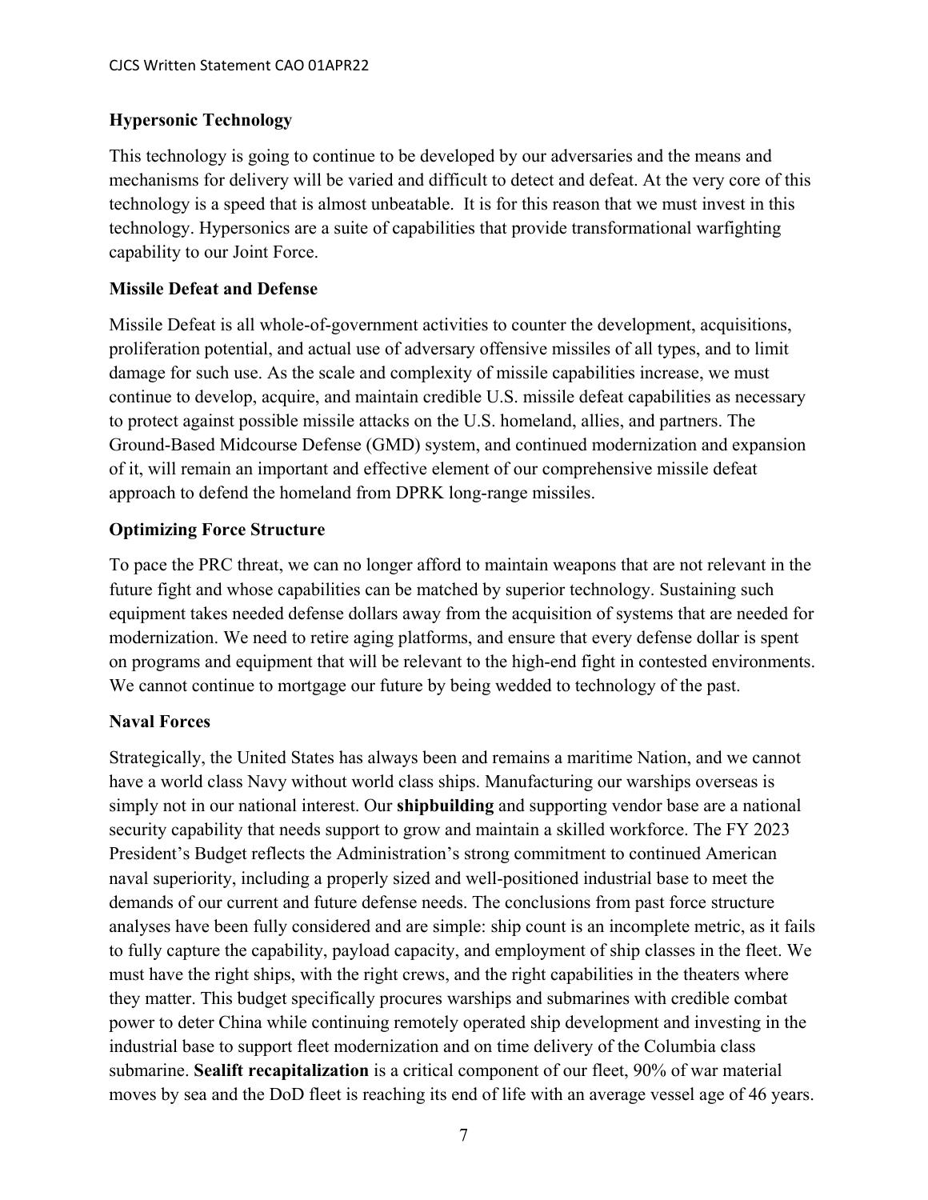## **Hypersonic Technology**

This technology is going to continue to be developed by our adversaries and the means and mechanisms for delivery will be varied and difficult to detect and defeat. At the very core of this technology is a speed that is almost unbeatable. It is for this reason that we must invest in this technology. Hypersonics are a suite of capabilities that provide transformational warfighting capability to our Joint Force.

## **Missile Defeat and Defense**

Missile Defeat is all whole-of-government activities to counter the development, acquisitions, proliferation potential, and actual use of adversary offensive missiles of all types, and to limit damage for such use. As the scale and complexity of missile capabilities increase, we must continue to develop, acquire, and maintain credible U.S. missile defeat capabilities as necessary to protect against possible missile attacks on the U.S. homeland, allies, and partners. The Ground-Based Midcourse Defense (GMD) system, and continued modernization and expansion of it, will remain an important and effective element of our comprehensive missile defeat approach to defend the homeland from DPRK long-range missiles.

## **Optimizing Force Structure**

To pace the PRC threat, we can no longer afford to maintain weapons that are not relevant in the future fight and whose capabilities can be matched by superior technology. Sustaining such equipment takes needed defense dollars away from the acquisition of systems that are needed for modernization. We need to retire aging platforms, and ensure that every defense dollar is spent on programs and equipment that will be relevant to the high-end fight in contested environments. We cannot continue to mortgage our future by being wedded to technology of the past.

## **Naval Forces**

Strategically, the United States has always been and remains a maritime Nation, and we cannot have a world class Navy without world class ships. Manufacturing our warships overseas is simply not in our national interest. Our **shipbuilding** and supporting vendor base are a national security capability that needs support to grow and maintain a skilled workforce. The FY 2023 President's Budget reflects the Administration's strong commitment to continued American naval superiority, including a properly sized and well-positioned industrial base to meet the demands of our current and future defense needs. The conclusions from past force structure analyses have been fully considered and are simple: ship count is an incomplete metric, as it fails to fully capture the capability, payload capacity, and employment of ship classes in the fleet. We must have the right ships, with the right crews, and the right capabilities in the theaters where they matter. This budget specifically procures warships and submarines with credible combat power to deter China while continuing remotely operated ship development and investing in the industrial base to support fleet modernization and on time delivery of the Columbia class submarine. **Sealift recapitalization** is a critical component of our fleet, 90% of war material moves by sea and the DoD fleet is reaching its end of life with an average vessel age of 46 years.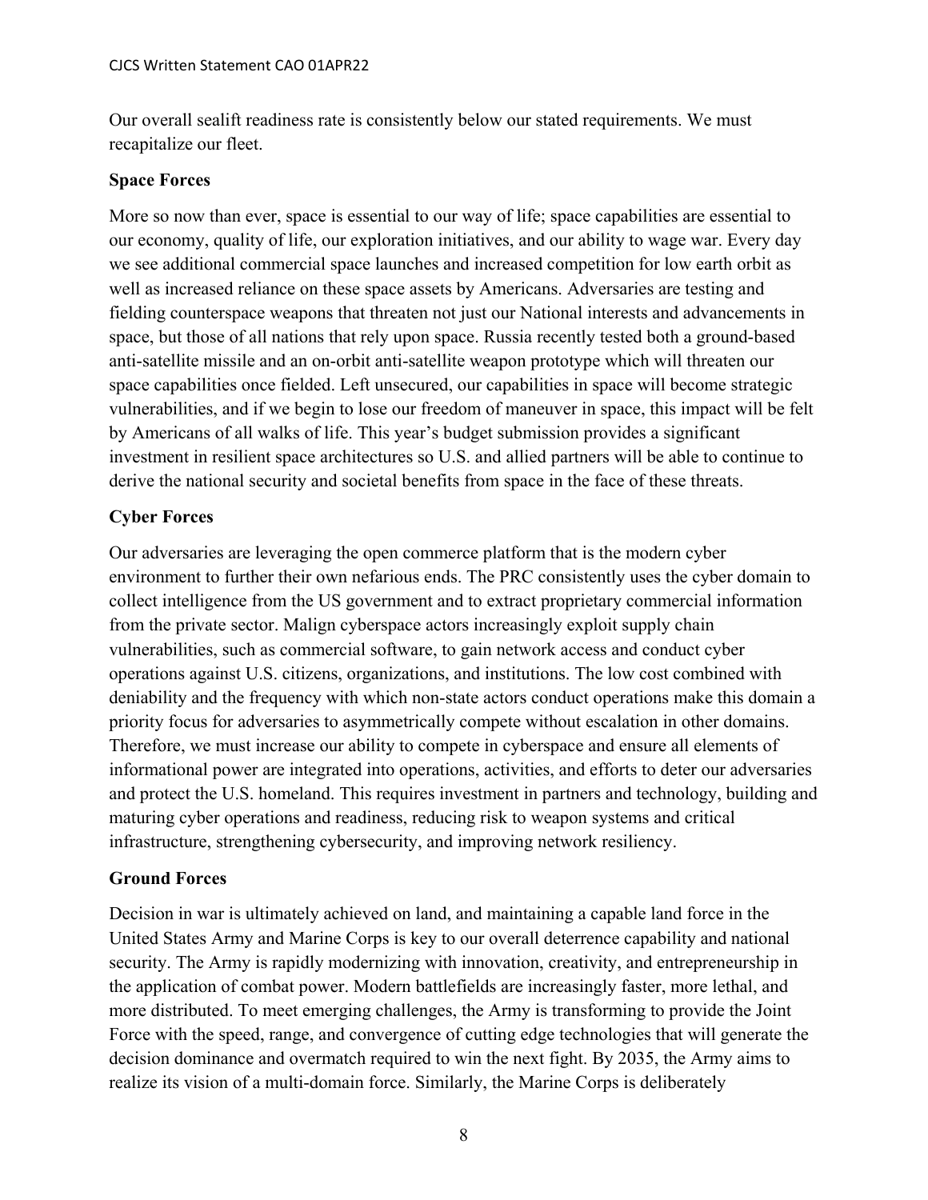Our overall sealift readiness rate is consistently below our stated requirements. We must recapitalize our fleet.

#### **Space Forces**

More so now than ever, space is essential to our way of life; space capabilities are essential to our economy, quality of life, our exploration initiatives, and our ability to wage war. Every day we see additional commercial space launches and increased competition for low earth orbit as well as increased reliance on these space assets by Americans. Adversaries are testing and fielding counterspace weapons that threaten not just our National interests and advancements in space, but those of all nations that rely upon space. Russia recently tested both a ground-based anti-satellite missile and an on-orbit anti-satellite weapon prototype which will threaten our space capabilities once fielded. Left unsecured, our capabilities in space will become strategic vulnerabilities, and if we begin to lose our freedom of maneuver in space, this impact will be felt by Americans of all walks of life. This year's budget submission provides a significant investment in resilient space architectures so U.S. and allied partners will be able to continue to derive the national security and societal benefits from space in the face of these threats.

## **Cyber Forces**

Our adversaries are leveraging the open commerce platform that is the modern cyber environment to further their own nefarious ends. The PRC consistently uses the cyber domain to collect intelligence from the US government and to extract proprietary commercial information from the private sector. Malign cyberspace actors increasingly exploit supply chain vulnerabilities, such as commercial software, to gain network access and conduct cyber operations against U.S. citizens, organizations, and institutions. The low cost combined with deniability and the frequency with which non-state actors conduct operations make this domain a priority focus for adversaries to asymmetrically compete without escalation in other domains. Therefore, we must increase our ability to compete in cyberspace and ensure all elements of informational power are integrated into operations, activities, and efforts to deter our adversaries and protect the U.S. homeland. This requires investment in partners and technology, building and maturing cyber operations and readiness, reducing risk to weapon systems and critical infrastructure, strengthening cybersecurity, and improving network resiliency.

## **Ground Forces**

Decision in war is ultimately achieved on land, and maintaining a capable land force in the United States Army and Marine Corps is key to our overall deterrence capability and national security. The Army is rapidly modernizing with innovation, creativity, and entrepreneurship in the application of combat power. Modern battlefields are increasingly faster, more lethal, and more distributed. To meet emerging challenges, the Army is transforming to provide the Joint Force with the speed, range, and convergence of cutting edge technologies that will generate the decision dominance and overmatch required to win the next fight. By 2035, the Army aims to realize its vision of a multi-domain force. Similarly, the Marine Corps is deliberately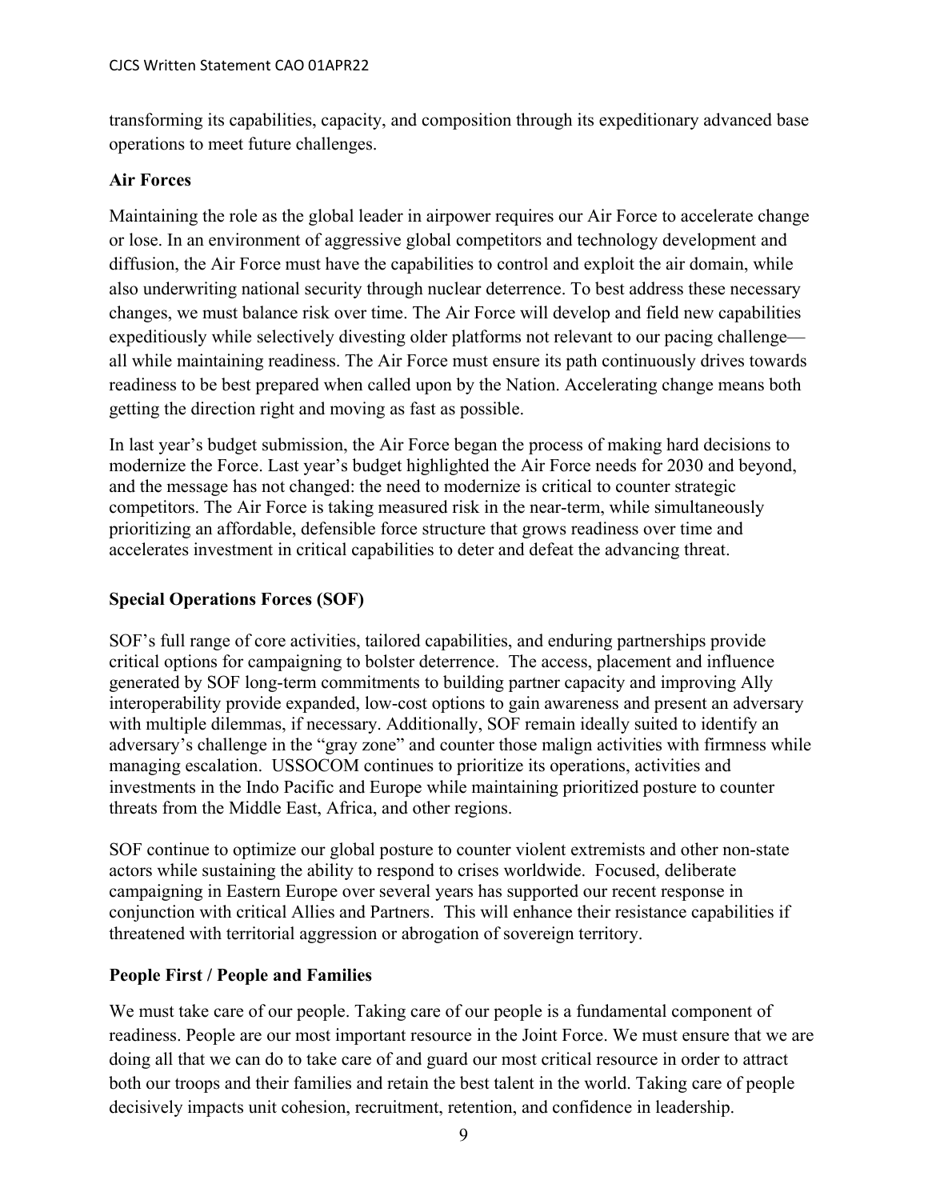transforming its capabilities, capacity, and composition through its expeditionary advanced base operations to meet future challenges.

## **Air Forces**

Maintaining the role as the global leader in airpower requires our Air Force to accelerate change or lose. In an environment of aggressive global competitors and technology development and diffusion, the Air Force must have the capabilities to control and exploit the air domain, while also underwriting national security through nuclear deterrence. To best address these necessary changes, we must balance risk over time. The Air Force will develop and field new capabilities expeditiously while selectively divesting older platforms not relevant to our pacing challenge all while maintaining readiness. The Air Force must ensure its path continuously drives towards readiness to be best prepared when called upon by the Nation. Accelerating change means both getting the direction right and moving as fast as possible.

In last year's budget submission, the Air Force began the process of making hard decisions to modernize the Force. Last year's budget highlighted the Air Force needs for 2030 and beyond, and the message has not changed: the need to modernize is critical to counter strategic competitors. The Air Force is taking measured risk in the near-term, while simultaneously prioritizing an affordable, defensible force structure that grows readiness over time and accelerates investment in critical capabilities to deter and defeat the advancing threat.

## **Special Operations Forces (SOF)**

SOF's full range of core activities, tailored capabilities, and enduring partnerships provide critical options for campaigning to bolster deterrence. The access, placement and influence generated by SOF long-term commitments to building partner capacity and improving Ally interoperability provide expanded, low-cost options to gain awareness and present an adversary with multiple dilemmas, if necessary. Additionally, SOF remain ideally suited to identify an adversary's challenge in the "gray zone" and counter those malign activities with firmness while managing escalation. USSOCOM continues to prioritize its operations, activities and investments in the Indo Pacific and Europe while maintaining prioritized posture to counter threats from the Middle East, Africa, and other regions.

SOF continue to optimize our global posture to counter violent extremists and other non-state actors while sustaining the ability to respond to crises worldwide. Focused, deliberate campaigning in Eastern Europe over several years has supported our recent response in conjunction with critical Allies and Partners. This will enhance their resistance capabilities if threatened with territorial aggression or abrogation of sovereign territory.

## **People First / People and Families**

We must take care of our people. Taking care of our people is a fundamental component of readiness. People are our most important resource in the Joint Force. We must ensure that we are doing all that we can do to take care of and guard our most critical resource in order to attract both our troops and their families and retain the best talent in the world. Taking care of people decisively impacts unit cohesion, recruitment, retention, and confidence in leadership.